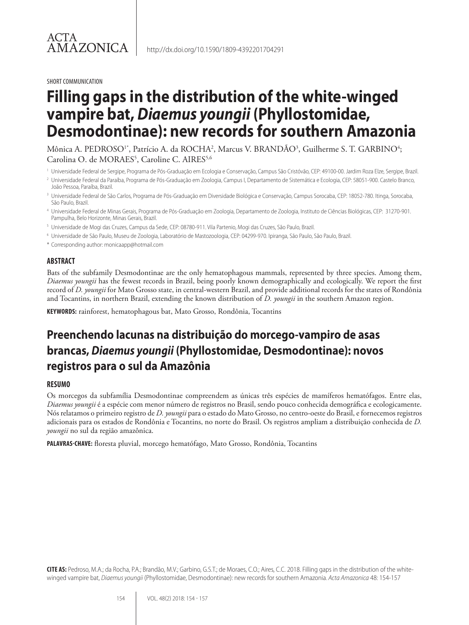#### SHORT COMMUNICATION

# **Filling gaps in the distribution of the white-winged vampire bat,** *Diaemus youngii* **(Phyllostomidae, Desmodontinae): new records for southern Amazonia**

Mônica A. PEDROSO<sup>1\*</sup>, Patrício A. da ROCHA<sup>2</sup>, Marcus V. BRANDÃO<sup>3</sup>, Guilherme S. T. GARBINO<sup>4</sup>; Carolina O. de MORAES<sup>5</sup>, Caroline C. AIRES<sup>5,6</sup>

- <sup>1</sup> Universidade Federal de Sergipe, Programa de Pós-Graduação em Ecologia e Conservação, Campus São Cristóvão, CEP: 49100-00. Jardim Roza Elze, Sergipe, Brazil.
- <sup>2</sup> Universidade Federal da Paraíba, Programa de Pós-Graduação em Zoologia, Campus I, Departamento de Sistemática e Ecologia, CEP: 58051-900. Castelo Branco, João Pessoa, Paraíba, Brazil.
- <sup>3</sup> Universidade Federal de São Carlos, Programa de Pós-Graduação em Diversidade Biológica e Conservação, Campus Sorocaba, CEP: 18052-780. Itinga, Sorocaba, São Paulo, Brazil.
- <sup>4</sup> Universidade Federal de Minas Gerais, Programa de Pós-Graduação em Zoologia, Departamento de Zoologia, Instituto de Ciências Biológicas, CEP: 31270-901. Pampulha, Belo Horizonte, Minas Gerais, Brazil.
- <sup>5</sup> Universidade de Mogi das Cruzes, Campus da Sede, CEP: 08780-911. Vila Partenio, Mogi das Cruzes, São Paulo, Brazil.
- <sup>6</sup> Universidade de São Paulo, Museu de Zoologia, Laboratório de Mastozoologia, CEP: 04299-970. Ipiranga, São Paulo, São Paulo, Brazil.
- \* Corresponding author: monicaapp@hotmail.com

#### **ABSTRACT**

Bats of the subfamily Desmodontinae are the only hematophagous mammals, represented by three species. Among them, *Diaemus youngii* has the fewest records in Brazil, being poorly known demographically and ecologically. We report the first record of *D. youngii* for Mato Grosso state, in central-western Brazil, and provide additional records for the states of Rondônia and Tocantins, in northern Brazil, extending the known distribution of *D. youngii* in the southern Amazon region.

**KEYWORDS:** rainforest, hematophagous bat, Mato Grosso, Rondônia, Tocantins

## **Preenchendo lacunas na distribuição do morcego-vampiro de asas brancas,** *Diaemus youngii* **(Phyllostomidae, Desmodontinae): novos registros para o sul da Amazônia**

#### **RESUMO**

Os morcegos da subfamília Desmodontinae compreendem as únicas três espécies de mamíferos hematófagos. Entre elas, *Diaemus youngii* é a espécie com menor número de registros no Brasil, sendo pouco conhecida demográfica e ecologicamente. Nós relatamos o primeiro registro de *D. youngii* para o estado do Mato Grosso, no centro-oeste do Brasil, e fornecemos registros adicionais para os estados de Rondônia e Tocantins, no norte do Brasil. Os registros ampliam a distribuição conhecida de *D. youngii* no sul da região amazônica.

**PALAVRAS-CHAVE:** floresta pluvial, morcego hematófago, Mato Grosso, Rondônia, Tocantins

**CITE AS:** Pedroso, M.A.; da Rocha, P.A.; Brandão, M.V.; Garbino, G.S.T.; de Moraes, C.O.; Aires, C.C. 2018. Filling gaps in the distribution of the whitewinged vampire bat, *Diaemus youngii* (Phyllostomidae, Desmodontinae): new records for southern Amazonia. *Acta Amazonica* 48: 154-157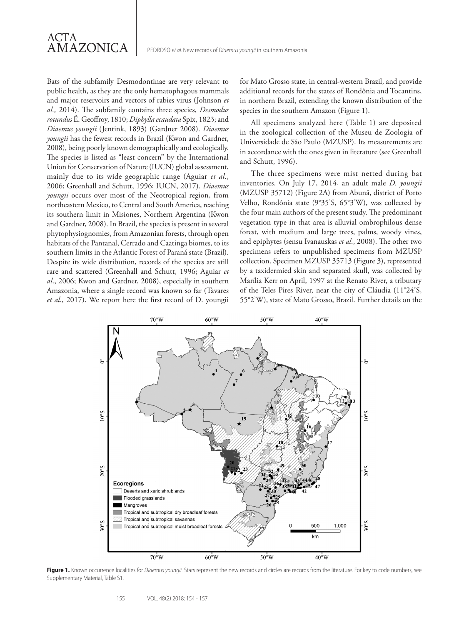Bats of the subfamily Desmodontinae are very relevant to public health, as they are the only hematophagous mammals and major reservoirs and vectors of rabies virus (Johnson *et al.,* 2014). The subfamily contains three species, *Desmodus rotundus* É. Geoffroy, 1810; *Diphylla ecaudata* Spix, 1823; and *Diaemus youngii* (Jentink, 1893) (Gardner 2008). *Diaemus youngii* has the fewest records in Brazil (Kwon and Gardner, 2008), being poorly known demographically and ecologically. The species is listed as "least concern" by the International Union for Conservation of Nature (IUCN) global assessment, mainly due to its wide geographic range (Aguiar *et al*., 2006; Greenhall and Schutt, 1996; IUCN, 2017). *Diaemus youngii* occurs over most of the Neotropical region, from northeastern Mexico, to Central and South America, reaching its southern limit in Misiones, Northern Argentina (Kwon and Gardner, 2008). In Brazil, the species is present in several phytophysiognomies, from Amazonian forests, through open habitats of the Pantanal, Cerrado and Caatinga biomes, to its southern limits in the Atlantic Forest of Paraná state (Brazil). Despite its wide distribution, records of the species are still rare and scattered (Greenhall and Schutt, 1996; Aguiar *et al*., 2006; Kwon and Gardner, 2008), especially in southern Amazonia, where a single record was known so far (Tavares *et al*., 2017). We report here the first record of D. youngii

ACTA

**AMAZONICA** 

for Mato Grosso state, in central-western Brazil, and provide additional records for the states of Rondônia and Tocantins, in northern Brazil, extending the known distribution of the species in the southern Amazon (Figure 1).

All specimens analyzed here (Table 1) are deposited in the zoological collection of the Museu de Zoologia of Universidade de São Paulo (MZUSP). Its measurements are in accordance with the ones given in literature (see Greenhall and Schutt, 1996).

The three specimens were mist netted during bat inventories. On July 17, 2014, an adult male *D. youngii* (MZUSP 35712) (Figure 2A) from Abunã, district of Porto Velho, Rondônia state (9°35'S, 65°3'W), was collected by the four main authors of the present study. The predominant vegetation type in that area is alluvial ombrophilous dense forest, with medium and large trees, palms, woody vines, and epiphytes (sensu Ivanauskas *et al*., 2008). The other two specimens refers to unpublished specimens from MZUSP collection. Specimen MZUSP 35713 (Figure 3), represented by a taxidermied skin and separated skull, was collected by Marília Kerr on April, 1997 at the Renato River, a tributary of the Teles Pires River, near the city of Cláudia (11°24'S, 55°2'W), state of Mato Grosso, Brazil. Further details on the



Figure 1. Known occurrence localities for *Diaemus youngii*. Stars represent the new records and circles are records from the literature. For key to code numbers, see Supplementary Material, Table S1.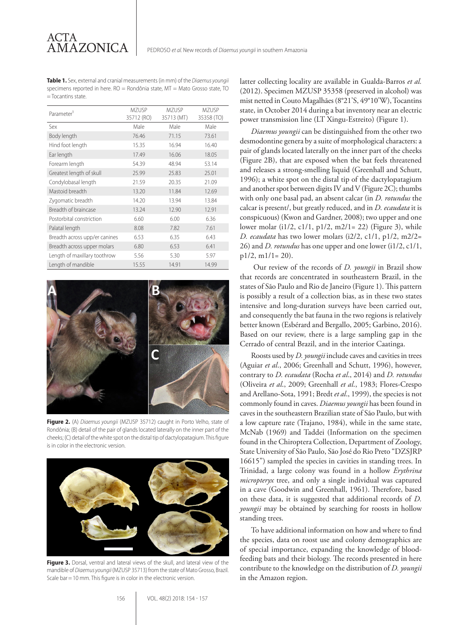**Table 1.** Sex, external and cranial measurements (in mm) of the *Diaemus youngii* specimens reported in here. RO = Rondônia state, MT = Mato Grosso state, TO = Tocantins state.

| Parameter <sup>1</sup>        | <b>MZUSP</b><br>35712 (RO) | <b>MZUSP</b><br>35713 (MT) | MZUSP<br>35358 (TO) |
|-------------------------------|----------------------------|----------------------------|---------------------|
| Sex                           | Male                       | Male                       | Male                |
| Body length                   | 76.46                      | 71.15                      | 73.61               |
| Hind foot length              | 15.35                      | 16.94                      | 16.40               |
| Ear length                    | 17.49                      | 16.06                      | 18.05               |
| Forearm length                | 54.39                      | 48.94                      | 53.14               |
| Greatest length of skull      | 25.99                      | 25.83                      | 25.01               |
| Condylobasal length           | 21.59                      | 20.35                      | 21.09               |
| Mastoid breadth               | 13.20                      | 11.84                      | 12.69               |
| Zygomatic breadth             | 14.20                      | 13.94                      | 13.84               |
| Breadth of braincase          | 13.24                      | 12.90                      | 12.91               |
| Postorbital constriction      | 6.60                       | 6.00                       | 6.36                |
| Palatal length                | 8.08                       | 7.82                       | 7.61                |
| Breadth across upp/er canines | 6.53                       | 6.35                       | 6.43                |
| Breadth across upper molars   | 6.80                       | 6.53                       | 6.41                |
| Length of maxillary toothrow  | 5.56                       | 5.30                       | 5.97                |
| Length of mandible            | 15.55                      | 14.91                      | 14.99               |



**Figure 2.** (A) *Diaemus youngii* (MZUSP 35712) caught in Porto Velho, state of Rondônia; (B) detail of the pair of glands located laterally on the inner part of the cheeks; (C) detail of the white spot on the distal tip of dactylopatagium. This figure is in color in the electronic version.

![](_page_2_Picture_6.jpeg)

**Figure 3.** Dorsal, ventral and lateral views of the skull, and lateral view of the mandible of *Diaemus youngii* (MZUSP 35713) from the state of Mato Grosso, Brazil. Scale bar = 10 mm. This figure is in color in the electronic version.

latter collecting locality are available in Gualda-Barros *et al.* (2012). Specimen MZUSP 35358 (preserved in alcohol) was mist netted in Couto Magalhães (8°21'S, 49°10'W), Tocantins state, in October 2014 during a bat inventory near an electric power transmission line (LT Xingu-Estreito) (Figure 1).

*Diaemus youngii* can be distinguished from the other two desmodontine genera by a suite of morphological characters: a pair of glands located laterally on the inner part of the cheeks (Figure 2B), that are exposed when the bat feels threatened and releases a strong-smelling liquid (Greenhall and Schutt, 1996); a white spot on the distal tip of the dactylopatagium and another spot between digits IV and V (Figure 2C); thumbs with only one basal pad, an absent calcar (in *D. rotundus* the calcar is present/, but greatly reduced, and in *D. ecaudata* it is conspicuous) (Kwon and Gardner, 2008); two upper and one lower molar (i1/2, c1/1, p1/2, m2/1= 22) (Figure 3), while *D. ecaudata* has two lower molars (i2/2, c1/1, p1/2, m2/2= 26) and *D. rotundus* has one upper and one lower (i1/2, c1/1,  $p1/2, m1/1=20$ ).

 Our review of the records of *D. youngii* in Brazil show that records are concentrated in southeastern Brazil, in the states of São Paulo and Rio de Janeiro (Figure 1). This pattern is possibly a result of a collection bias, as in these two states intensive and long-duration surveys have been carried out, and consequently the bat fauna in the two regions is relatively better known (Esbérard and Bergallo, 2005; Garbino, 2016). Based on our review, there is a large sampling gap in the Cerrado of central Brazil, and in the interior Caatinga.

Roosts used by *D. youngii* include caves and cavities in trees (Aguiar *et al*., 2006; Greenhall and Schutt, 1996), however, contrary to *D. ecaudata* (Rocha *et al*., 2014) and *D. rotundus*  (Oliveira *et al*., 2009; Greenhall *et al*., 1983; Flores-Crespo and Arellano-Sota, 1991; Bredt *et al*., 1999), the species is not commonly found in caves. *Diaemus youngii* has been found in caves in the southeastern Brazilian state of São Paulo, but with a low capture rate (Trajano, 1984), while in the same state, McNab (1969) and Taddei (Information on the specimen found in the Chiroptera Collection, Department of Zoology, State University of São Paulo, São José do Rio Preto "DZSJRP 16615") sampled the species in cavities in standing trees. In Trinidad, a large colony was found in a hollow *Erythrina micropteryx* tree, and only a single individual was captured in a cave (Goodwin and Greenhall, 1961). Therefore, based on these data, it is suggested that additional records of *D. youngii* may be obtained by searching for roosts in hollow standing trees.

To have additional information on how and where to find the species, data on roost use and colony demographics are of special importance, expanding the knowledge of bloodfeeding bats and their biology. The records presented in here contribute to the knowledge on the distribution of *D. youngii*  in the Amazon region.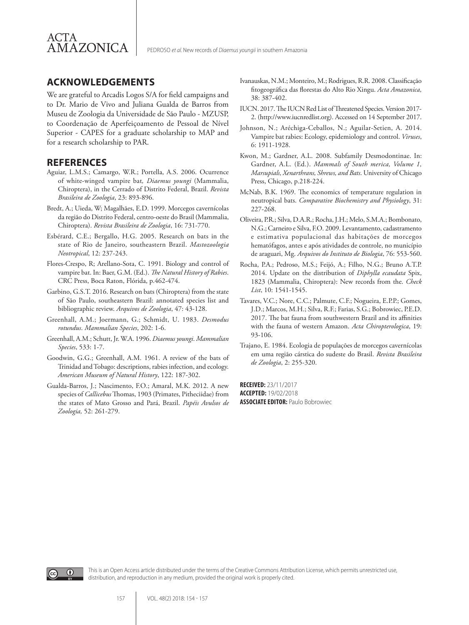![](_page_3_Picture_0.jpeg)

#### **ACKNOWLEDGEMENTS**

We are grateful to Arcadis Logos S/A for field campaigns and to Dr. Mario de Vivo and Juliana Gualda de Barros from Museu de Zoologia da Universidade de São Paulo - MZUSP, to Coordenação de Aperfeiçoamento de Pessoal de Nível Superior - CAPES for a graduate scholarship to MAP and for a research scholarship to PAR.

#### **REFERENCES**

- Aguiar, L.M.S.; Camargo, W.R.; Portella, A.S. 2006. Ocurrence of white-winged vampire bat*, Diaemus youngi* (Mammalia, Chiroptera), in the Cerrado of Distrito Federal, Brazil. *Revista Brasileira de Zoologia*, 23: 893-896.
- Bredt, A.; Uieda, W; Magalhães, E.D. 1999. Morcegos cavernícolas da região do Distrito Federal, centro-oeste do Brasil (Mammalia, Chiroptera). *Revista Brasileira de Zoologia*, 16: 731-770.
- Esbérard, C.E.; Bergallo, H.G. 2005. Research on bats in the state of Rio de Janeiro, southeastern Brazil. *Mastozoologia Neotropical*, 12: 237-243.
- Flores-Crespo, R; Arellano-Sota, C. 1991. Biology and control of vampire bat. In: Baer, G.M. (Ed.). *The Natural History of Rabies*. CRC Press, Boca Raton, Flórida, p.462-474.
- Garbino, G.S.T. 2016. Research on bats (Chiroptera) from the state of São Paulo, southeastern Brazil: annotated species list and bibliographic review. *Arquivos de Zoologia*, 47: 43-128.
- Greenhall, A.M.; Joermann, G.; Schmidt, U. 1983. *Desmodus rotundus*. *Mammalian Species*, 202: 1-6.
- Greenhall, A.M.; Schutt, Jr. W.A. 1996. *Diaemus youngi*. *Mammalian Species*, 533: 1-7.
- Goodwin, G.G.; Greenhall, A.M. 1961. A review of the bats of Trinidad and Tobago: descriptions, rabies infection, and ecology. *American Museum of Natural History*, 122: 187-302.
- Gualda-Barros, J.; Nascimento, F.O.; Amaral, M.K. 2012. A new species of *Callicebus* Thomas, 1903 (Primates, Pitheciidae) from the states of Mato Grosso and Pará, Brazil. *Papéis Avulsos de Zoologia,* 52: 261-279.
- Ivanauskas, N.M.; Monteiro, M.; Rodrigues, R.R. 2008. Classificação fitogeográfica das florestas do Alto Rio Xingu. *Acta Amazonica,*  38: 387-402.
- IUCN. 2017. The IUCN Red List of Threatened Species. Version 2017- 2. (http://www.iucnredlist.org). Accessed on 14 September 2017.
- Johnson, N.; Aréchiga-Ceballos, N.; Aguilar-Setien, A. 2014. Vampire bat rabies: Ecology, epidemiology and control. *Viruses*, 6: 1911-1928.
- Kwon, M.; Gardner, A.L. 2008. Subfamily Desmodontinae. In: Gardner, A.L. (Ed.). *Mammals of South merica, Volume 1, Marsupials, Xenarthrans, Shrews, and Bats*. University of Chicago Press, Chicago, p.218-224.
- McNab, B.K. 1969. The economics of temperature regulation in neutropical bats. *Comparative Biochemistry and Physiology*, 31: 227-268.
- Oliveira, P.R.; Silva, D.A.R.; Rocha, J.H.; Melo, S.M.A.; Bombonato, N.G.; Carneiro e Silva, F.O. 2009. Levantamento, cadastramento e estimativa populacional das habitações de morcegos hematófagos, antes e após atividades de controle, no município de araguari, Mg. *Arquivos do Instituto de Biologia*, 76: 553-560.
- Rocha, P.A.; Pedroso, M.S.; Feijó, A.; Filho, N.G.; Bruno A.T.P. 2014. Update on the distribution of *Diphylla ecaudata* Spix, 1823 (Mammalia, Chiroptera): New records from the. *Check List*, 10: 1541-1545.
- Tavares, V.C.; Nore, C.C.; Palmute, C.F.; Nogueira, E.P.P.; Gomes, J.D.; Marcos, M.H.; Silva, R.F.; Farias, S.G.; Bobrowiec, P.E.D. 2017. The bat fauna from southwestern Brazil and its affinities with the fauna of western Amazon. *Acta Chiropterologica*, 19: 93-106.
- Trajano, E. 1984. Ecologia de populações de morcegos cavernícolas em uma região cárstica do sudeste do Brasil. *Revista Brasileira de Zoologia*, 2: 255-320.

**RECEIVED:** 23/11/2017 **ACCEPTED:** 19/02/2018 **ASSOCIATE EDITOR:** Paulo Bobrowiec

![](_page_3_Picture_24.jpeg)

This is an Open Access article distributed under the terms of the Creative Commons Attribution License, which permits unrestricted use, distribution, and reproduction in any medium, provided the original work is properly cited.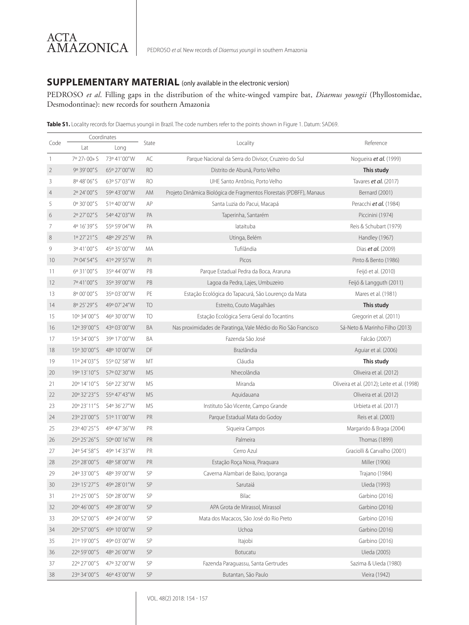## ACTA AMAZONICA

### **SUPPLEMENTARY MATERIAL** (only available in the electronic version)

PEDROSO *et al*. Filling gaps in the distribution of the white-winged vampire bat, *Diaemus youngii* (Phyllostomidae, Desmodontinae): new records for southern Amazonia

Table S1. Locality records for Diaemus youngii in Brazil. The code numbers refer to the points shown in Figure 1. Datum: SAD69.

|                | Coordinates   |                             |            |                                                                     |                                             |
|----------------|---------------|-----------------------------|------------|---------------------------------------------------------------------|---------------------------------------------|
|                | Code<br>Lat   | Long                        | State      | Locality                                                            | Reference                                   |
| $\overline{1}$ | 7º 27> 00» S  | 73° 41'00"W                 | AC         | Parque Nacional da Serra do Divisor, Cruzeiro do Sul                | Noqueira et al. (1999)                      |
| $\overline{2}$ | 9° 39' 00" S  | 65° 27'00"W                 | <b>RO</b>  | Distrito de Abunã, Porto Velho                                      | This study                                  |
| 3              | 8º 48'06" S   | 63° 57' 03" W               | RO         | UHE Santo Antônio, Porto Velho                                      | Tavares <i>et al.</i> (2017)                |
| $\overline{4}$ | 2º 24'00"S    | 59° 43' 00" W               | AM         | Projeto Dinâmica Biológica de Fragmentos Florestais (PDBFF), Manaus | Bernard (2001)                              |
| 5              | 0° 30'00" S   | 51° 40' 00" W               | AP         | Santa Luzia do Pacui, Macapá                                        | Peracchi et al. (1984)                      |
| 6              | 2º 27'02"S    | 54° 42' 03" W               | PA         | Taperinha, Santarém                                                 | Piccinini (1974)                            |
| 7              | 4º 16' 39" S  | 55° 59' 04" W               | PA         | lataituba                                                           | Reis & Schubart (1979)                      |
| 8              | 1º 27' 21" S  | 48° 29' 25" W               | PA         | Utinga, Belém                                                       | Handley (1967)                              |
| 9              | 3º 41'00"S    | 45° 35'00"W                 | МA         | Tufilândia                                                          | Dias <i>et al.</i> (2009)                   |
| 10             | 7º 04' 54" S  | 41° 29' 55" W               | PI         | Picos                                                               | Pinto & Bento (1986)                        |
| 11             | 6° 31'00"S    | 35° 44' 00" W               | PB         | Parque Estadual Pedra da Boca, Araruna                              | Feijó et al. (2010)                         |
| 12             | 7º 41'00"S    | 35° 39'00"W                 | PB         | Lagoa da Pedra, Lajes, Umbuzeiro                                    | Feijó & Langguth (2011)                     |
| 13             | 8° 00'00"S    | 35° 03' 00" W               | PE         | Estação Ecológica do Tapacurá, São Lourenço da Mata                 | Mares et al. (1981)                         |
| 14             | 8º 25' 29" S  | 49° 07' 24" W               | <b>TO</b>  | Estreito, Couto Magalhães                                           | This study                                  |
| 15             | 10° 34' 00" S | 46° 30' 00" W               | TO         | Estação Ecológica Serra Geral do Tocantins                          | Gregorin et al. (2011)                      |
| 16             | 12° 39'00" S  | 43° 03' 00" W               | BA         | Nas proximidades de Paratinga, Vale Médio do Rio São Francisco      | Sá-Neto & Marinho Filho (2013)              |
| 17             | 15° 34' 00" S | 39° 17'00"W                 | BA         | Fazenda São José                                                    | Falcão (2007)                               |
| 18             | 15° 30'00" S  | 48° 10'00"W                 | DF         | Brazlândia                                                          | Aquiar et al. (2006)                        |
| 19             | 11° 24' 03" S | 55° 02' 58"W                | МT         | Cláudia                                                             | This study                                  |
| 20             | 19° 13' 10" S | 57° 02' 30"W                | <b>MS</b>  | Nhecolândia                                                         | Oliveira et al. (2012)                      |
| 21             | 20° 14' 10" S | 56° 22' 30"W                | <b>MS</b>  | Miranda                                                             | Oliveira et al. (2012); Leite et al. (1998) |
| 22             | 20° 32' 23" S | 55° 47' 43" W               | <b>MS</b>  | Aquidauana                                                          | Oliveira et al. (2012)                      |
| 23             | 20° 23' 11" S | 54° 36' 27" W               | <b>MS</b>  | Instituto São Vicente, Campo Grande                                 | Urbieta et al. (2017)                       |
| 24             | 23° 23' 00" S | 51° 11'00"W                 | PR         | Parque Estadual Mata do Godoy                                       | Reis et al. (2003)                          |
| 25             | 23° 40' 25" S | 49° 47' 36" W               | PR         | Siqueira Campos                                                     | Margarido & Braga (2004)                    |
| 26             | 25° 25' 26" S | 50° 00' 16"W                | <b>PR</b>  | Palmeira                                                            | Thomas (1899)                               |
| 27             | 24° 54' 58" S | 49° 14' 33" W               | PR         | Cerro Azul                                                          | Graciolli & Carvalho (2001)                 |
| 28             | 25° 28' 00" S | 48° 58'00"W                 | PR         | Estação Roça Nova, Piraquara                                        | Miller (1906)                               |
| 29             | 24° 33'00" S  | 48° 39' 00" W               | SP         | Caverna Alambari de Baixo, Iporanga                                 | Trajano (1984)                              |
| 30             |               | 23° 15' 27" S 49° 28' 01" W | SP         | Sarutaiá                                                            | Uieda (1993)                                |
| 31             | 21° 25' 00" S | 50° 28' 00" W               | SP         | Bilac                                                               | Garbino (2016)                              |
| 32             | 20° 46' 00" S | 49° 28' 00" W               | SP         | APA Grota de Mirassol, Mirassol                                     | Garbino (2016)                              |
| 33             | 20° 52' 00" S | 49° 24' 00" W               | SP         | Mata dos Macacos, São José do Rio Preto                             | Garbino (2016)                              |
| 34             | 20° 57'00" S  | 49° 10'00"W                 | SP         | Uchoa                                                               | Garbino (2016)                              |
| 35             | 21° 19'00" S  | 49° 03' 00" W               | ${\sf SP}$ | Itajobi                                                             | Garbino (2016)                              |
| 36             | 22° 59'00" S  | 48° 26' 00" W               | SP         | Botucatu                                                            | Uieda (2005)                                |
| 37             | 22° 27'00" S  | 47° 32' 00" W               | SP         | Fazenda Paraguassu, Santa Gertrudes                                 | Sazima & Uieda (1980)                       |
| 38             | 23° 34' 00" S | 46° 43' 00" W               | SP         | Butantan, São Paulo                                                 | Vieira (1942)                               |